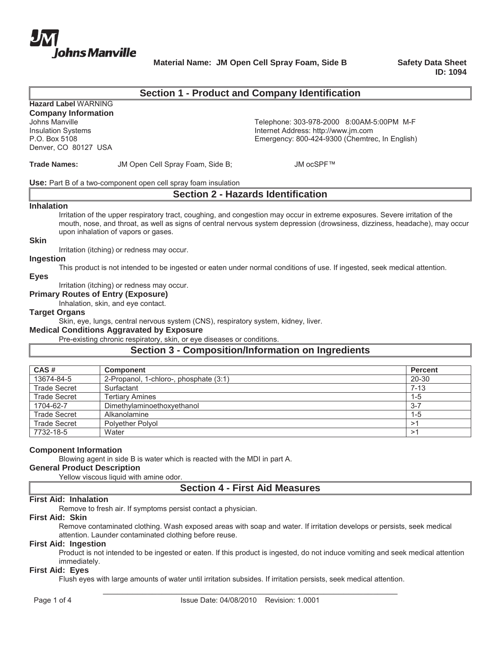

**Material Name: JM Open Cell Spray Foam, Side B Safety Data Sheet** 

**ID: 1094**

## **Section 1 - Product and Company Identification**

# **Hazard Label** WARNING

**Company Information** Denver, CO 80127 USA

Johns Manville<br>
Insulation Systems<br>
Internet Address: http://www.jm.com Insulation Systems<br>
P.O. Box 5108<br>
P.O. Box 5108 Emergency: 800-424-9300 (Chemtrec, In English)

Trade Names: **JM Open Cell Spray Foam, Side B**; JM ocSPF™

**Use:** Part B of a two-component open cell spray foam insulation

## **Section 2 - Hazards Identification**

#### **Inhalation**

Irritation of the upper respiratory tract, coughing, and congestion may occur in extreme exposures. Severe irritation of the mouth, nose, and throat, as well as signs of central nervous system depression (drowsiness, dizziness, headache), may occur upon inhalation of vapors or gases.

**Skin**

Irritation (itching) or redness may occur.

#### **Ingestion**

This product is not intended to be ingested or eaten under normal conditions of use. If ingested, seek medical attention.

**Eyes**

Irritation (itching) or redness may occur.

**Primary Routes of Entry (Exposure)**

Inhalation, skin, and eye contact.

#### **Target Organs**

Skin, eye, lungs, central nervous system (CNS), respiratory system, kidney, liver.

#### **Medical Conditions Aggravated by Exposure**

Pre-existing chronic respiratory, skin, or eye diseases or conditions.

## **Section 3 - Composition/Information on Ingredients**

| CAS#                | <b>Component</b>                       | <b>Percent</b> |
|---------------------|----------------------------------------|----------------|
| 13674-84-5          | 2-Propanol, 1-chloro-, phosphate (3:1) | 20-30          |
| <b>Trade Secret</b> | Surfactant                             | $7 - 13$       |
| <b>Trade Secret</b> | <b>Tertiary Amines</b>                 | $1 - 5$        |
| 1704-62-7           | Dimethylaminoethoxyethanol             | $3 - 7$        |
| <b>Trade Secret</b> | Alkanolamine                           | $1 - 5$        |
| <b>Trade Secret</b> | <b>Polvether Polvol</b>                |                |
| 7732-18-5           | Water                                  |                |

### **Component Information**

Blowing agent in side B is water which is reacted with the MDI in part A.

## **General Product Description**

Yellow viscous liquid with amine odor.

## **Section 4 - First Aid Measures**

### **First Aid: Inhalation**

Remove to fresh air. If symptoms persist contact a physician.

#### **First Aid: Skin**

Remove contaminated clothing. Wash exposed areas with soap and water. If irritation develops or persists, seek medical attention. Launder contaminated clothing before reuse.

#### **First Aid: Ingestion**

Product is not intended to be ingested or eaten. If this product is ingested, do not induce vomiting and seek medical attention immediately.

#### **First Aid: Eyes**

Flush eyes with large amounts of water until irritation subsides. If irritation persists, seek medical attention.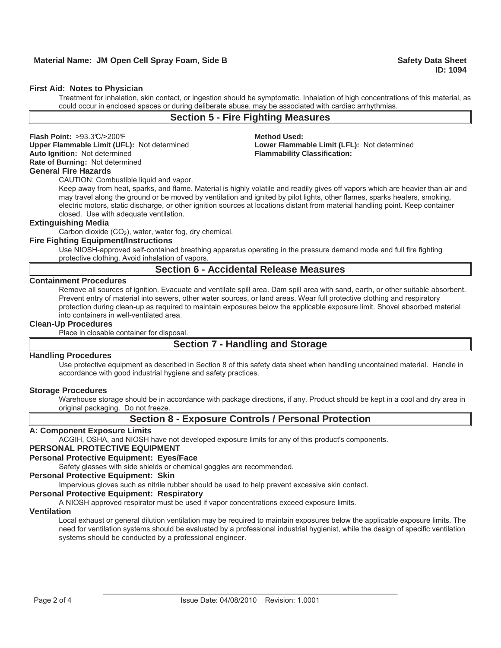#### **First Aid: Notes to Physician**

Treatment for inhalation, skin contact, or ingestion should be symptomatic. Inhalation of high concentrations of this material, as could occur in enclosed spaces or during deliberate abuse, may be associated with cardiac arrhythmias.

## **Section 5 - Fire Fighting Measures**

**Flash Point:** >93.3°C/>200°F **Method Used:** 

#### **Rate of Burning:** Not determined **General Fire Hazards**

CAUTION: Combustible liquid and vapor.

**Upper Flammable Limit (UFL):** Not determined **Lower Flammable Limit (LFL):** Not determined **Flammability Classification:** 

Keep away from heat, sparks, and flame. Material is highly volatile and readily gives off vapors which are heavier than air and may travel along the ground or be moved by ventilation and ignited by pilot lights, other flames, sparks heaters, smoking, electric motors, static discharge, or other ignition sources at locations distant from material handling point. Keep container closed. Use with adequate ventilation.

#### **Extinguishing Media**

Carbon dioxide  $(CO<sub>2</sub>)$ , water, water fog, dry chemical.

#### **Fire Fighting Equipment/Instructions**

Use NIOSH-approved self-contained breathing apparatus operating in the pressure demand mode and full fire fighting protective clothing. Avoid inhalation of vapors.

### **Section 6 - Accidental Release Measures**

### **Containment Procedures**

Remove all sources of ignition. Evacuate and ventilate spill area. Dam spill area with sand, earth, or other suitable absorbent. Prevent entry of material into sewers, other water sources, or land areas. Wear full protective clothing and respiratory protection during clean-up as required to maintain exposures below the applicable exposure limit. Shovel absorbed material into containers in well-ventilated area.

### **Clean-Up Procedures**

Place in closable container for disposal.

## **Section 7 - Handling and Storage**

#### **Handling Procedures**

Use protective equipment as described in Section 8 of this safety data sheet when handling uncontained material. Handle in accordance with good industrial hygiene and safety practices.

#### **Storage Procedures**

Warehouse storage should be in accordance with package directions, if any. Product should be kept in a cool and dry area in original packaging. Do not freeze.

### **Section 8 - Exposure Controls / Personal Protection**

#### **A: Component Exposure Limits**

ACGIH, OSHA, and NIOSH have not developed exposure limits for any of this product's components.

## **PERSONAL PROTECTIVE EQUIPMENT**

### **Personal Protective Equipment: Eyes/Face**

Safety glasses with side shields or chemical goggles are recommended.

#### **Personal Protective Equipment: Skin**

Impervious gloves such as nitrile rubber should be used to help prevent excessive skin contact.

#### **Personal Protective Equipment: Respiratory**

A NIOSH approved respirator must be used if vapor concentrations exceed exposure limits.

### **Ventilation**

Local exhaust or general dilution ventilation may be required to maintain exposures below the applicable exposure limits. The need for ventilation systems should be evaluated by a professional industrial hygienist, while the design of specific ventilation systems should be conducted by a professional engineer.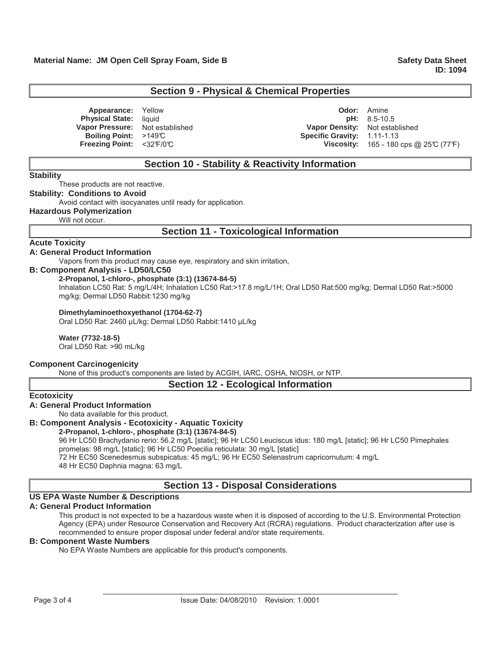## **Section 9 - Physical & Chemical Properties**

**Appearance:** Yellow **Contract Property Contract Property Contract Property Contract Property Odor: Amine Physical State:** liquid **pH:** 8.5-10.5 **Vapor Pressure:** Not established **Vapor Density:** Not established **Boiling Point:**  $>149^\circ$ C **Specific Gravity:** 1.11-1.13 **Freezing Point:**  $\leq 32$  F/0°C **Viscosity: 165 - 180 cps @ 25°C (77°F)** 

## **Section 10 - Stability & Reactivity Information**

#### **Stability**

These products are not reactive.

## **Stability: Conditions to Avoid**

Avoid contact with isocyanates until ready for application.

### **Hazardous Polymerization**

Will not occur.

## **Section 11 - Toxicological Information**

### **Acute Toxicity**

### **A: General Product Information**

Vapors from this product may cause eye, respiratory and skin irritation,

### **B: Component Analysis - LD50/LC50**

### **2-Propanol, 1-chloro-, phosphate (3:1) (13674-84-5)**

Inhalation LC50 Rat: 5 mg/L/4H; Inhalation LC50 Rat:>17.8 mg/L/1H; Oral LD50 Rat:500 mg/kg; Dermal LD50 Rat:>5000 mg/kg; Dermal LD50 Rabbit:1230 mg/kg

#### **Dimethylaminoethoxyethanol (1704-62-7)**

Oral LD50 Rat: 2460 μL/kg; Dermal LD50 Rabbit:1410 μL/kg

### **Water (7732-18-5)**

Oral LD50 Rat: >90 mL/kg

#### **Component Carcinogenicity**

None of this product's components are listed by ACGIH, IARC, OSHA, NIOSH, or NTP.

## **Section 12 - Ecological Information**

**Ecotoxicity**

### **A: General Product Information**

No data available for this product.

## **B: Component Analysis - Ecotoxicity - Aquatic Toxicity**

#### **2-Propanol, 1-chloro-, phosphate (3:1) (13674-84-5)**

96 Hr LC50 Brachydanio rerio: 56.2 mg/L [static]; 96 Hr LC50 Leuciscus idus: 180 mg/L [static]; 96 Hr LC50 Pimephales promelas: 98 mg/L [static]; 96 Hr LC50 Poecilia reticulata: 30 mg/L [static]

72 Hr EC50 Scenedesmus subspicatus: 45 mg/L; 96 Hr EC50 Selenastrum capricornutum: 4 mg/L

48 Hr EC50 Daphnia magna: 63 mg/L

## **Section 13 - Disposal Considerations**

## **US EPA Waste Number & Descriptions**

## **A: General Product Information**

This product is not expected to be a hazardous waste when it is disposed of according to the U.S. Environmental Protection Agency (EPA) under Resource Conservation and Recovery Act (RCRA) regulations. Product characterization after use is recommended to ensure proper disposal under federal and/or state requirements.

### **B: Component Waste Numbers**

No EPA Waste Numbers are applicable for this product's components.